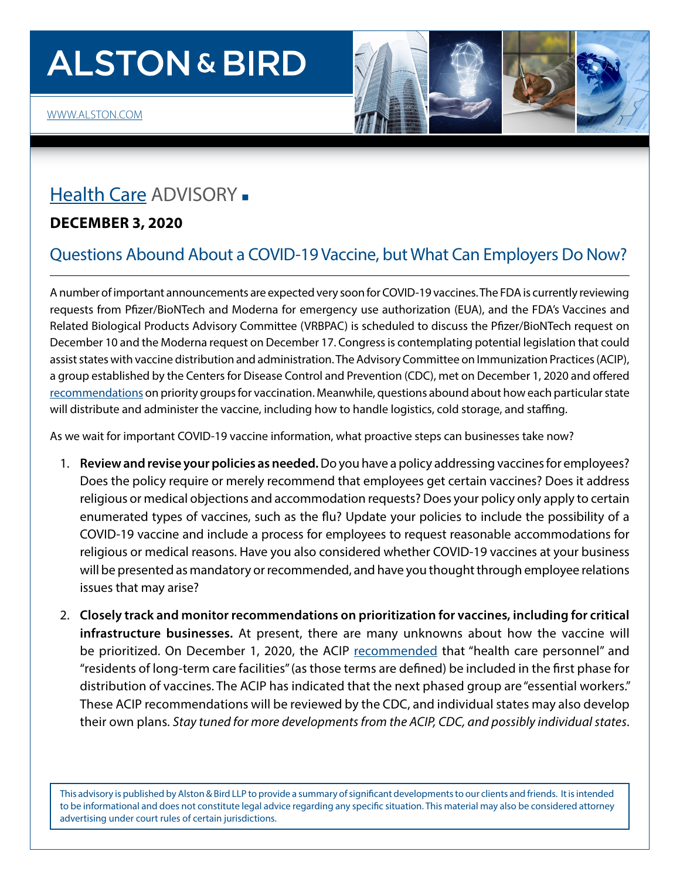# **ALSTON & BIRD**

### [Health Care](https://www.alston.com/en/services/industries/health-care-life-sciences/health-care) ADVISORY **.**

### **DECEMBER 3, 2020**

### Questions Abound About a COVID-19 Vaccine, but What Can Employers Do Now?

A number of important announcements are expected very soon for COVID-19 vaccines. The FDA is currently reviewing requests from Pfizer/BioNTech and Moderna for emergency use authorization (EUA), and the FDA's Vaccines and Related Biological Products Advisory Committee (VRBPAC) is scheduled to discuss the Pfizer/BioNTech request on December 10 and the Moderna request on December 17. Congress is contemplating potential legislation that could assist states with vaccine distribution and administration. The Advisory Committee on Immunization Practices (ACIP), a group established by the Centers for Disease Control and Prevention (CDC), met on December 1, 2020 and offered [recommendations](https://www.cdc.gov/vaccines/acip/meetings/slides-2020-12.html) on priority groups for vaccination. Meanwhile, questions abound about how each particular state will distribute and administer the vaccine, including how to handle logistics, cold storage, and staffing.

As we wait for important COVID-19 vaccine information, what proactive steps can businesses take now?

- 1. **Review and revise your policies as needed.** Do you have a policy addressing vaccines for employees? Does the policy require or merely recommend that employees get certain vaccines? Does it address religious or medical objections and accommodation requests? Does your policy only apply to certain enumerated types of vaccines, such as the flu? Update your policies to include the possibility of a COVID-19 vaccine and include a process for employees to request reasonable accommodations for religious or medical reasons. Have you also considered whether COVID-19 vaccines at your business will be presented as mandatory or recommended, and have you thought through employee relations issues that may arise?
- 2. **Closely track and monitor recommendations on prioritization for vaccines, including for critical infrastructure businesses.** At present, there are many unknowns about how the vaccine will be prioritized. On December 1, 2020, the ACIP [recommended](https://www.cdc.gov/vaccines/acip/meetings/downloads/slides-2020-12/COVID-02-Dooling.pdf) that "health care personnel" and "residents of long-term care facilities" (as those terms are defined) be included in the first phase for distribution of vaccines. The ACIP has indicated that the next phased group are "essential workers." These ACIP recommendations will be reviewed by the CDC, and individual states may also develop their own plans. *Stay tuned for more developments from the ACIP, CDC, and possibly individual states*.

This advisory is published by Alston & Bird LLP to provide a summary of significant developments to our clients and friends. It is intended to be informational and does not constitute legal advice regarding any specific situation. This material may also be considered attorney advertising under court rules of certain jurisdictions.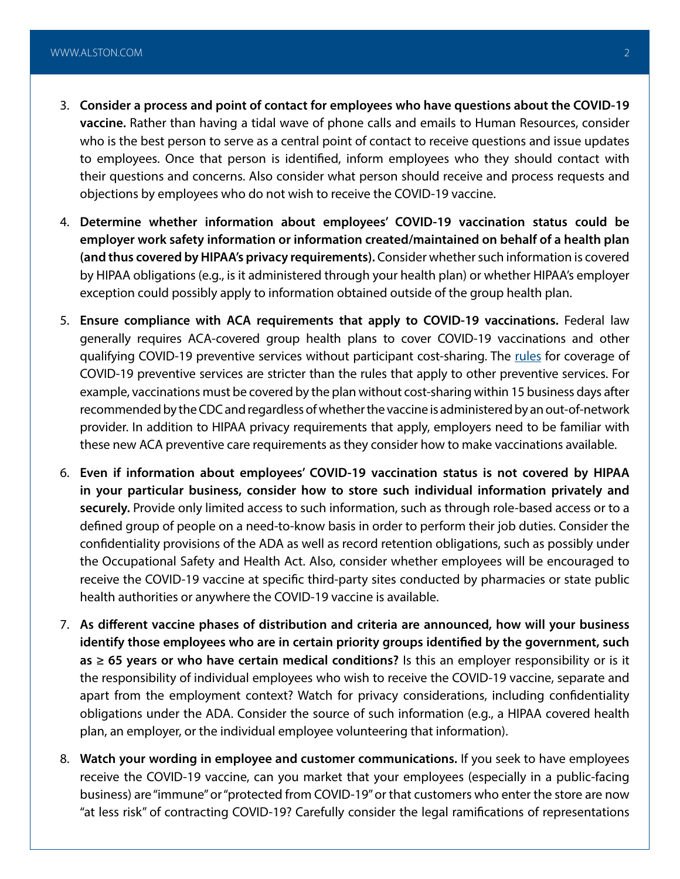- 3. **Consider a process and point of contact for employees who have questions about the COVID-19 vaccine.** Rather than having a tidal wave of phone calls and emails to Human Resources, consider who is the best person to serve as a central point of contact to receive questions and issue updates to employees. Once that person is identified, inform employees who they should contact with their questions and concerns. Also consider what person should receive and process requests and objections by employees who do not wish to receive the COVID-19 vaccine.
- 4. **Determine whether information about employees' COVID-19 vaccination status could be employer work safety information or information created/maintained on behalf of a health plan (and thus covered by HIPAA's privacy requirements).** Consider whether such information is covered by HIPAA obligations (e.g., is it administered through your health plan) or whether HIPAA's employer exception could possibly apply to information obtained outside of the group health plan.
- 5. **Ensure compliance with ACA requirements that apply to COVID-19 vaccinations.** Federal law generally requires ACA-covered group health plans to cover COVID-19 vaccinations and other qualifying COVID-19 preventive services without participant cost-sharing. The [rules](https://www.govinfo.gov/content/pkg/FR-2020-11-06/pdf/2020-24332.pdf) for coverage of COVID-19 preventive services are stricter than the rules that apply to other preventive services. For example, vaccinations must be covered by the plan without cost-sharing within 15 business days after recommended by the CDC and regardless of whether the vaccine is administered by an out-of-network provider. In addition to HIPAA privacy requirements that apply, employers need to be familiar with these new ACA preventive care requirements as they consider how to make vaccinations available.
- 6. **Even if information about employees' COVID-19 vaccination status is not covered by HIPAA in your particular business, consider how to store such individual information privately and securely.** Provide only limited access to such information, such as through role-based access or to a defined group of people on a need-to-know basis in order to perform their job duties. Consider the confidentiality provisions of the ADA as well as record retention obligations, such as possibly under the Occupational Safety and Health Act. Also, consider whether employees will be encouraged to receive the COVID-19 vaccine at specific third-party sites conducted by pharmacies or state public health authorities or anywhere the COVID-19 vaccine is available.
- 7. **As different vaccine phases of distribution and criteria are announced, how will your business identify those employees who are in certain priority groups identified by the government, such as ≥ 65 years or who have certain medical conditions?** Is this an employer responsibility or is it the responsibility of individual employees who wish to receive the COVID-19 vaccine, separate and apart from the employment context? Watch for privacy considerations, including confidentiality obligations under the ADA. Consider the source of such information (e.g., a HIPAA covered health plan, an employer, or the individual employee volunteering that information).
- 8. **Watch your wording in employee and customer communications.** If you seek to have employees receive the COVID-19 vaccine, can you market that your employees (especially in a public-facing business) are "immune" or "protected from COVID-19" or that customers who enter the store are now "at less risk" of contracting COVID-19? Carefully consider the legal ramifications of representations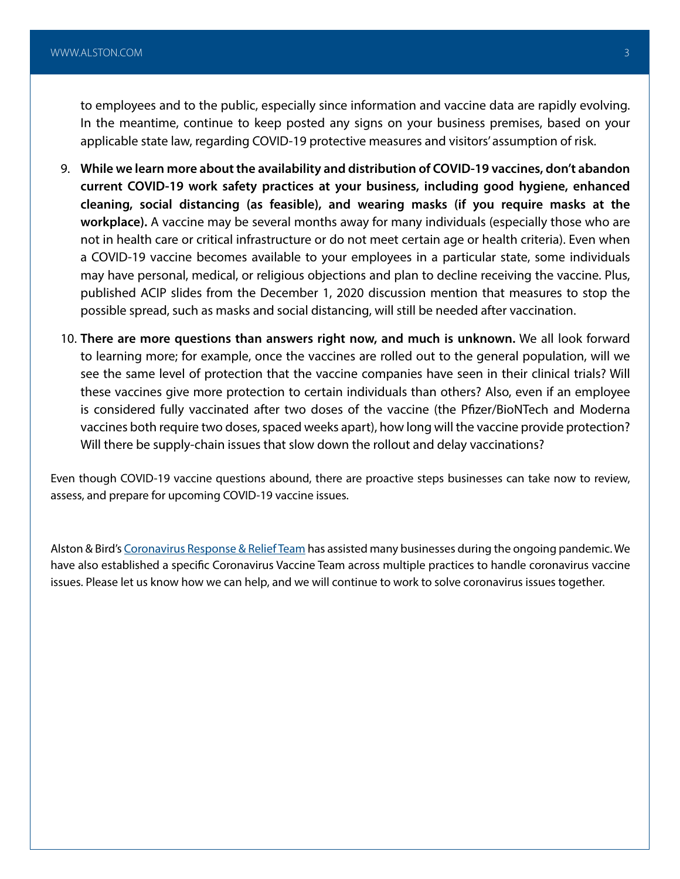to employees and to the public, especially since information and vaccine data are rapidly evolving. In the meantime, continue to keep posted any signs on your business premises, based on your applicable state law, regarding COVID-19 protective measures and visitors' assumption of risk.

- 9. **While we learn more about the availability and distribution of COVID-19 vaccines, don't abandon current COVID-19 work safety practices at your business, including good hygiene, enhanced cleaning, social distancing (as feasible), and wearing masks (if you require masks at the workplace).** A vaccine may be several months away for many individuals (especially those who are not in health care or critical infrastructure or do not meet certain age or health criteria). Even when a COVID-19 vaccine becomes available to your employees in a particular state, some individuals may have personal, medical, or religious objections and plan to decline receiving the vaccine. Plus, published ACIP slides from the December 1, 2020 discussion mention that measures to stop the possible spread, such as masks and social distancing, will still be needed after vaccination.
- 10. **There are more questions than answers right now, and much is unknown.** We all look forward to learning more; for example, once the vaccines are rolled out to the general population, will we see the same level of protection that the vaccine companies have seen in their clinical trials? Will these vaccines give more protection to certain individuals than others? Also, even if an employee is considered fully vaccinated after two doses of the vaccine (the Pfizer/BioNTech and Moderna vaccines both require two doses, spaced weeks apart), how long will the vaccine provide protection? Will there be supply-chain issues that slow down the rollout and delay vaccinations?

Even though COVID-19 vaccine questions abound, there are proactive steps businesses can take now to review, assess, and prepare for upcoming COVID-19 vaccine issues.

Alston & Bird's [Coronavirus Response & Relief Team](https://www.alston.com/en/resources/coronavirus-task-force/overview) has assisted many businesses during the ongoing pandemic. We have also established a specific Coronavirus Vaccine Team across multiple practices to handle coronavirus vaccine issues. Please let us know how we can help, and we will continue to work to solve coronavirus issues together.